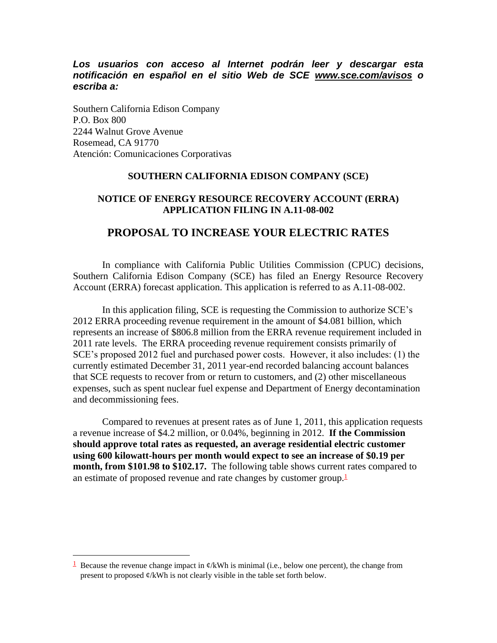*Los usuarios con acceso al Internet podrán leer y descargar esta notificación en español en el sitio Web de SCE www.sce.com/avisos o escriba a:* 

Southern California Edison Company P.O. Box 800 2244 Walnut Grove Avenue Rosemead, CA 91770 Atención: Comunicaciones Corporativas

 $\overline{a}$ 

#### **SOUTHERN CALIFORNIA EDISON COMPANY (SCE)**

#### **NOTICE OF ENERGY RESOURCE RECOVERY ACCOUNT (ERRA) APPLICATION FILING IN A.11-08-002**

#### **PROPOSAL TO INCREASE YOUR ELECTRIC RATES**

In compliance with California Public Utilities Commission (CPUC) decisions, Southern California Edison Company (SCE) has filed an Energy Resource Recovery Account (ERRA) forecast application. This application is referred to as A.11-08-002.

In this application filing, SCE is requesting the Commission to authorize SCE's 2012 ERRA proceeding revenue requirement in the amount of \$4.081 billion, which represents an increase of \$806.8 million from the ERRA revenue requirement included in 2011 rate levels. The ERRA proceeding revenue requirement consists primarily of SCE's proposed 2012 fuel and purchased power costs. However, it also includes: (1) the currently estimated December 31, 2011 year-end recorded balancing account balances that SCE requests to recover from or return to customers, and (2) other miscellaneous expenses, such as spent nuclear fuel expense and Department of Energy decontamination and decommissioning fees.

Compared to revenues at present rates as of June 1, 2011, this application requests a revenue increase of \$4.2 million, or 0.04%, beginning in 2012. **If the Commission should approve total rates as requested, an average residential electric customer using 600 kilowatt-hours per month would expect to see an increase of \$0.19 per month, from \$101.98 to \$102.17.** The following table shows current rates compared to an estimate of proposed revenue and rate changes by customer group.<sup>1</sup>

<sup>&</sup>lt;sup>1</sup> Because the revenue change impact in  $\varphi/kWh$  is minimal (i.e., below one percent), the change from present to proposed ¢/kWh is not clearly visible in the table set forth below.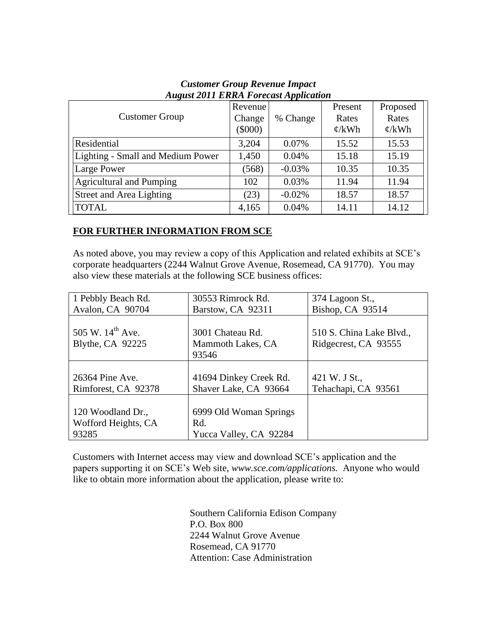| <b>Customer Group</b>             | Revenue<br>Change<br>$(\$000)$ | % Change | Present<br>Rates<br>$\mathcal{L}/kWh$ | Proposed<br>Rates<br>$\mathcal{C}/kWh$ |
|-----------------------------------|--------------------------------|----------|---------------------------------------|----------------------------------------|
| Residential                       | 3,204                          | 0.07%    | 15.52                                 | 15.53                                  |
| Lighting - Small and Medium Power | 1,450                          | 0.04%    | 15.18                                 | 15.19                                  |
| Large Power                       | (568)                          | $-0.03%$ | 10.35                                 | 10.35                                  |
| <b>Agricultural and Pumping</b>   | 102                            | 0.03%    | 11.94                                 | 11.94                                  |
| Street and Area Lighting          | (23)                           | $-0.02%$ | 18.57                                 | 18.57                                  |
| <b>TOTAL</b>                      | 4,165                          | 0.04%    | 14.11                                 | 14.12                                  |

## *Customer Group Revenue Impact August 2011 ERRA Forecast Application*

## **FOR FURTHER INFORMATION FROM SCE**

As noted above, you may review a copy of this Application and related exhibits at SCE's corporate headquarters (2244 Walnut Grove Avenue, Rosemead, CA 91770). You may also view these materials at the following SCE business offices:

| 1 Pebbly Beach Rd.                               | 30553 Rimrock Rd.                              | 374 Lagoon St.,                                  |
|--------------------------------------------------|------------------------------------------------|--------------------------------------------------|
| Avalon, CA 90704                                 | Barstow, CA 92311                              | Bishop, CA 93514                                 |
| 505 W. 14 <sup>th</sup> Ave.<br>Blythe, CA 92225 | 3001 Chateau Rd.<br>Mammoth Lakes, CA<br>93546 | 510 S. China Lake Blvd.,<br>Ridgecrest, CA 93555 |
|                                                  |                                                |                                                  |
| 26364 Pine Ave.                                  | 41694 Dinkey Creek Rd.                         | 421 W. J St.,                                    |
| Rimforest, CA 92378                              | Shaver Lake, CA 93664                          | Tehachapi, CA 93561                              |
|                                                  |                                                |                                                  |
| 120 Woodland Dr.,                                | 6999 Old Woman Springs                         |                                                  |
| Wofford Heights, CA                              | Rd.                                            |                                                  |
| 93285                                            | Yucca Valley, CA 92284                         |                                                  |

Customers with Internet access may view and download SCE's application and the papers supporting it on SCE's Web site, *www.sce.com/applications.* Anyone who would like to obtain more information about the application, please write to:

> Southern California Edison Company P.O. Box 800 2244 Walnut Grove Avenue Rosemead, CA 91770 Attention: Case Administration